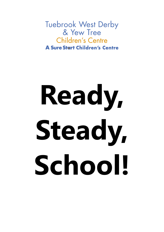**Tuebrook West Derby** & Yew Tree Children's Centre **A Sure Start Children's Centre** 

# **Ready, Steady, School!**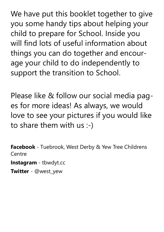We have put this booklet together to give you some handy tips about helping your child to prepare for School. Inside you will find lots of useful information about things you can do together and encourage your child to do independently to support the transition to School.

Please like & follow our social media pages for more ideas! As always, we would love to see your pictures if you would like to share them with us :-)

**Facebook** - Tuebrook, West Derby & Yew Tree Childrens **Centre** 

**Instagram** - tbwdyt.cc

**Twitter** - @west\_yew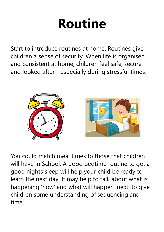### **Routine**

Start to introduce routines at home. Routines give children a sense of security. When life is organised and consistent at home, children feel safe, secure and looked after - especially during stressful times!



You could match meal times to those that children will have in School. A good bedtime routine to get a good nights sleep will help your child be ready to learn the next day. It may help to talk about what is happening 'now' and what will happen 'next' to give children some understanding of sequencing and time.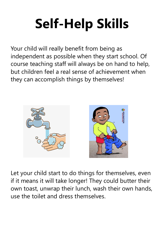## **Self-Help Skills**

Your child will really benefit from being as independent as possible when they start school. Of course teaching staff will always be on hand to help, but children feel a real sense of achievement when they can accomplish things by themselves!



Let your child start to do things for themselves, even if it means it will take longer! They could butter their own toast, unwrap their lunch, wash their own hands, use the toilet and dress themselves.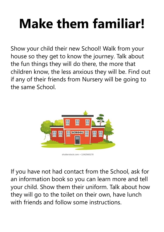## **Make them familiar!**

Show your child their new School! Walk from your house so they get to know the journey. Talk about the fun things they will do there, the more that children know, the less anxious they will be. Find out if any of their friends from Nursery will be going to the same School.



If you have not had contact from the School, ask for an information book so you can learn more and tell your child. Show them their uniform. Talk about how they will go to the toilet on their own, have lunch with friends and follow some instructions.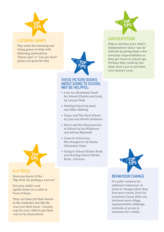

#### **LISTENING GAMES**

Play some fun listening and doing games to help with following instructions. 'Simon says' or 'Can you find?' games are great for this.



#### **THESE PICTURE BOOKS ABOUT GOING TO SCHOOL MAY BE HELPFUL:**

- I am too Absolutely Small for School (Charlie and Lola) by Lauren Child
- Starting School by Janet and Allen Ahlberg
- Topsy and Tim Start School by Jean and Gareth Adamson
- Harry and the Dinosaurs Go to School by Ian Whybrow and Adrian Reynolds
- Come to School too, Blue Kangaroo! by Emma **Chichester Clark**
- Going to School Sticker Book and Starting School Sticker Book-Usborne



#### **CAN DO ATTITUDE**

Help to develop your child's independence and a 'can do' attitude by giving them a few everyday responsibilities as they get closer to school age. Perhaps they could lay the table, feed a pet or put their own laundry away.



#### **BEHAVIOUR CHANGE**

It's quite common for children's behaviour at home to change when they first start school. Don't be surprised if your little one becomes more clingy, argumentative, lethargic, excitable or prone to tantrums for a while.



#### **FLIP TRICK**

Have you heard of the 'flip trick' for putting a coat on?

Put your child's coat upside down on a table in front of them.

They can then put their hands in the armholes and flip the coat over their head - a handy way for your child to put their coat on by themselves!